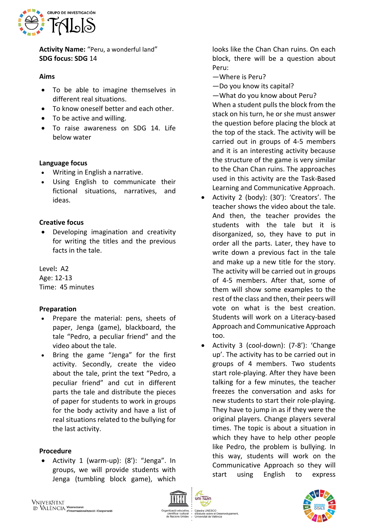

**Activity Name:** "Peru, a wonderful land" **SDG focus: SDG** 14

#### **Aims**

- To be able to imagine themselves in different real situations.
- To know oneself better and each other.
- To be active and willing.
- To raise awareness on SDG 14. Life below water

# **Language focus**

- Writing in English a narrative.
- Using English to communicate their fictional situations, narratives, and ideas.

## **Creative focus**

• Developing imagination and creativity for writing the titles and the previous facts in the tale.

Level**:** A2 Age: 12-13 Time: 45 minutes

# **Preparation**

- Prepare the material: pens, sheets of paper, Jenga (game), blackboard, the tale "Pedro, a peculiar friend" and the video about the tale.
- Bring the game "Jenga" for the first activity. Secondly, create the video about the tale, print the text "Pedro, a peculiar friend" and cut in different parts the tale and distribute the pieces of paper for students to work in groups for the body activity and have a list of real situations related to the bullying for the last activity.

#### **Procedure**

• Activity 1 (warm-up): (8'): "Jenga". In groups, we will provide students with Jenga (tumbling block game), which

looks like the Chan Chan ruins. On each block, there will be a question about Peru:

- —Where is Peru?
- —Do you know its capital?
- —What do you know about Peru?

When a student pulls the block from the stack on his turn, he or she must answer the question before placing the block at the top of the stack. The activity will be carried out in groups of 4-5 members and it is an interesting activity because the structure of the game is very similar to the Chan Chan ruins. The approaches used in this activity are the Task-Based Learning and Communicative Approach.

- Activity 2 (body): (30'): 'Creators'. The teacher shows the video about the tale. And then, the teacher provides the students with the tale but it is disorganized, so, they have to put in order all the parts. Later, they have to write down a previous fact in the tale and make up a new title for the story. The activity will be carried out in groups of 4-5 members. After that, some of them will show some examples to the rest of the class and then, their peers will vote on what is the best creation. Students will work on a Literacy-based Approach and Communicative Approach too.
- Activity 3 (cool-down): (7-8'): 'Change up'. The activity has to be carried out in groups of 4 members. Two students start role-playing. After they have been talking for a few minutes, the teacher freezes the conversation and asks for new students to start their role-playing. They have to jump in as if they were the original players. Change players several times. The topic is about a situation in which they have to help other people like Pedro, the problem is bullying. In this way, students will work on the Communicative Approach so they will start using English to express



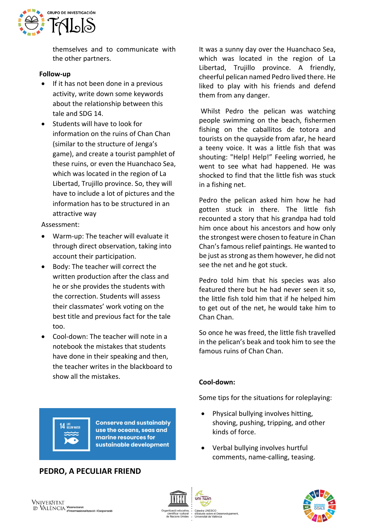

themselves and to communicate with the other partners.

## **Follow-up**

- If it has not been done in a previous activity, write down some keywords about the relationship between this tale and SDG 14.
- Students will have to look for information on the ruins of Chan Chan (similar to the structure of Jenga's game), and create a tourist pamphlet of these ruins, or even the Huanchaco Sea, which was located in the region of La Libertad, Trujillo province. So, they will have to include a lot of pictures and the information has to be structured in an attractive way

Assessment:

- Warm-up: The teacher will evaluate it through direct observation, taking into account their participation.
- Body: The teacher will correct the written production after the class and he or she provides the students with the correction. Students will assess their classmates' work voting on the best title and previous fact for the tale too.
- Cool-down: The teacher will note in a notebook the mistakes that students have done in their speaking and then, the teacher writes in the blackboard to show all the mistakes.

It was a sunny day over the Huanchaco Sea, which was located in the region of La Libertad, Trujillo province. A friendly, cheerful pelican named Pedro lived there. He liked to play with his friends and defend them from any danger.

Whilst Pedro the pelican was watching people swimming on the beach, fishermen fishing on the caballitos de totora and tourists on the quayside from afar, he heard a teeny voice. It was a little fish that was shouting: "Help! Help!" Feeling worried, he went to see what had happened. He was shocked to find that the little fish was stuck in a fishing net.

Pedro the pelican asked him how he had gotten stuck in there. The little fish recounted a story that his grandpa had told him once about his ancestors and how only the strongest were chosen to feature in Chan Chan's famous relief paintings. He wanted to be just as strong as them however, he did not see the net and he got stuck.

Pedro told him that his species was also featured there but he had never seen it so, the little fish told him that if he helped him to get out of the net, he would take him to Chan Chan.

So once he was freed, the little fish travelled in the pelican's beak and took him to see the famous ruins of Chan Chan.

# **Cool-down:**

Some tips for the situations for roleplaying:

- Physical bullying involves hitting, shoving, pushing, tripping, and other kinds of force.
- Verbal bullying involves hurtful comments, name-calling, teasing.



**Conserve and sustainably** use the oceans, seas and marine resources for sustainable development

# **PEDRO, A PECULIAR FRIEND**